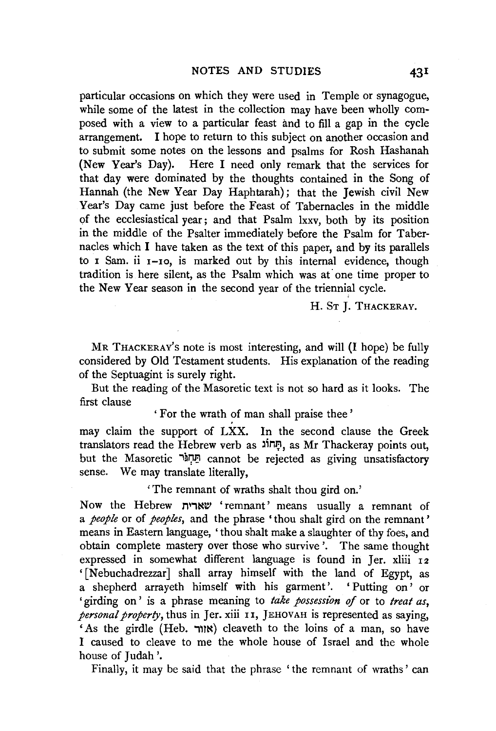particular occasions on which they were used in Temple or synagogue, while some of the latest in the collection may have been wholly composed with a view to a particular feast and to fill a gap in the cycle arrangement. I hope to return to this subject on another occasion and to submit some notes on the lessons and psalms for Rosh Hashanah (New Year's Day). Here I need only remark that the services for that day were dominated by the thoughts contained in the Song of Hannah (the New Year Day Haphtarah) ; that the Jewish civil New Year's Day came just before the Feast of Tabernacles in the middle of the ecclesiastical year; and that Psalm lxxv, both by its position in the middle of the Psalter immediately before the Psalm for Tabernacles which I have taken as the text of this paper, and by its parallels to  $\bar{x}$  Sam. ii  $\bar{x}$ - $\bar{x}$  is marked out by this internal evidence, though tradition is here silent, as the Psalm which was at" one time proper to the New Year season in the second year of the triennial cycle.

H. ST J. THACKERAY.

MR THACKERAY's note is most interesting, and will (I hope) be fully considered by Old Testament students. His explanation of the reading of the Septuagint is surely right.

But the reading of the Masoretic text is not so hard as it looks. The first clause

' For the wrath of man shall praise thee'

may claim the support of LXX. In the second clause the Greek translators read the Hebrew verb as  $\lambda$ חֲתוֹג, as Mr Thackeray points out, but the Masoretic ib~J:) cannot be rejected as giving unsatisfactory sense. We may translate literally,

'The remnant of wraths shalt thou gird on.'

Now the Hebrew "ארית" 'remnant' means usually a remnant of a *people* or of *peoples,* and the phrase ' thou shalt gird on the remnant' means in Eastern language, 'thou shalt make a slaughter of thy foes, and obtain complete mastery over those who survive'. The same thought expressed in somewhat different language is found in Jer. xliii 12 '[Nebuchadrezzar] shall array himself with the land of Egypt, as a shepherd arrayeth himself with his garment'. 'Putting on' or 'girding on ' is a phrase meaning to *take possession of* or to *treat as, personal property*, thus in Jer. xiii 11, JEHOVAH is represented as saying, 'As the girdle (Heb. אוור) cleaveth to the loins of a man, so have I caused to cleave to me the whole house of Israel and the whole house of Judah '.

Finally, it may be said that the phrase 'the remnant of wraths' can